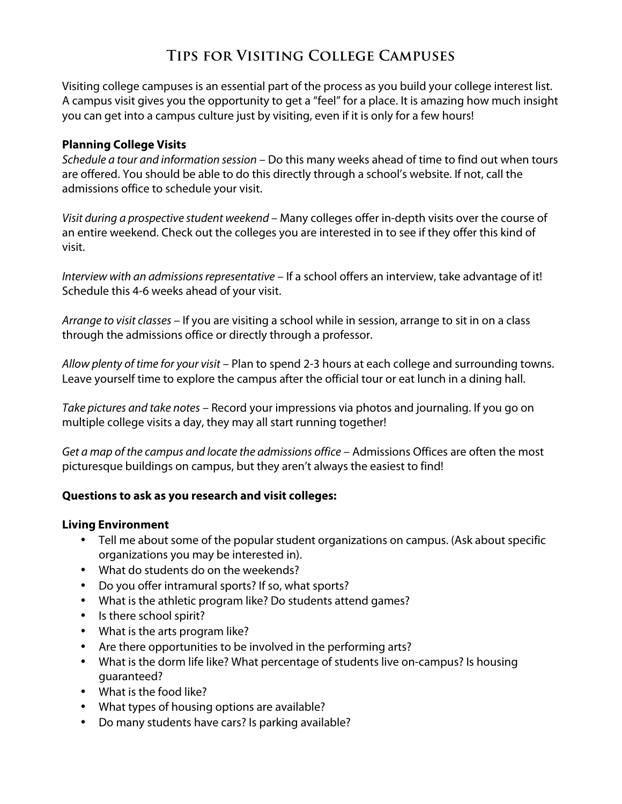# **Tips for Visiting College Campuses**

Visiting college campuses is an essential part of the process as you build your college interest list. A campus visit gives you the opportunity to get a "feel" for a place. It is amazing how much insight you can get into a campus culture just by visiting, even if it is only for a few hours!

#### **Planning College Visits**

*Schedule a tour and information session* – Do this many weeks ahead of time to find out when tours are offered. You should be able to do this directly through a school's website. If not, call the admissions office to schedule your visit.

*Visit during a prospective student weekend –* Many colleges offer in-depth visits over the course of an entire weekend. Check out the colleges you are interested in to see if they offer this kind of visit.

*Interview with an admissions representative* – If a school offers an interview, take advantage of it! Schedule this 4-6 weeks ahead of your visit.

*Arrange to visit classes* – If you are visiting a school while in session, arrange to sit in on a class through the admissions office or directly through a professor.

*Allow plenty of time for your visit* – Plan to spend 2-3 hours at each college and surrounding towns. Leave yourself time to explore the campus after the official tour or eat lunch in a dining hall.

*Take pictures and take notes* – Record your impressions via photos and journaling. If you go on multiple college visits a day, they may all start running together!

*Get a map of the campus and locate the admissions office* – Admissions Offices are often the most picturesque buildings on campus, but they aren't always the easiest to find!

## **Questions to ask as you research and visit colleges:**

#### **Living Environment**

- Tell me about some of the popular student organizations on campus. (Ask about specific organizations you may be interested in).
- What do students do on the weekends?
- Do you offer intramural sports? If so, what sports?
- What is the athletic program like? Do students attend games?
- Is there school spirit?
- What is the arts program like?
- Are there opportunities to be involved in the performing arts?
- What is the dorm life like? What percentage of students live on-campus? Is housing guaranteed?
- What is the food like?
- What types of housing options are available?
- Do many students have cars? Is parking available?